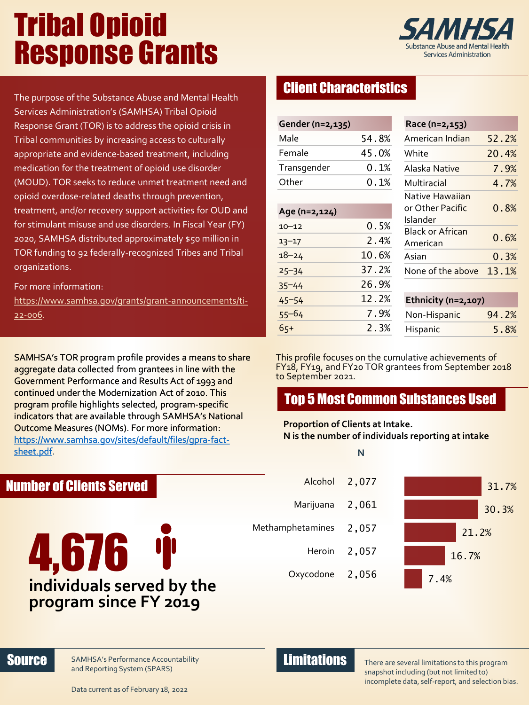# Tribal Opioid Response Grants



The purpose of the Substance Abuse and Mental Health Services Administration's (SAMHSA) Tribal Opioid Response Grant (TOR) is to address the opioid crisis in Tribal communities by increasing access to culturally appropriate and evidence-based treatment, including medication for the treatment of opioid use disorder (MOUD). TOR seeks to reduce unmet treatment need and opioid overdose-related deaths through prevention, treatment, and/or recovery support activities for OUD and for stimulant misuse and use disorders. In Fiscal Year (FY) 2020, SAMHSA distributed approximately \$50 million in TOR funding to 92 federally-recognized Tribes and Tribal organizations.

### For more information:

Number of Clients Served

[https://www.samhsa.gov/grants/grant-announcements/ti-](https://www.samhsa.gov/grants/grant-announcements/ti-22-006)22-006.

SAMHSA's TOR program profile provides a means to share aggregate data collected from grantees in line with the Government Performance and Results Act of 1993 and continued under the Modernization Act of 2010. This program profile highlights selected, program-specific indicators that are available through SAMHSA's National Outcome Measures (NOMs). For more information: [https://www.samhsa.gov/sites/default/files/gpra-fact](https://www.samhsa.gov/sites/default/files/gpra-fact-sheet.pdf)sheet.pdf.

# Client Characteristics

| Gender (n=2,135) |              |
|------------------|--------------|
| Male             | 54.8%        |
| Female           | 45.0%        |
| Transgender      | 0.1%         |
| Other            | $0\ldotp1\%$ |
|                  |              |
| Age (n=2,124)    |              |
| $10 - 12$        | $0.5\%$      |
| $13 - 17$        | 2.4%         |
| $18 - 24$        | 10.6%        |
| $25 - 34$        | 37.2%        |
| $35 - 44$        | 26.9%        |
| $45 - 54$        | 12.2%        |
| 55–64            | 7.9%         |
| $65+$            | 2.3%         |

| Race (n=2,153)                                  |       |
|-------------------------------------------------|-------|
| American Indian                                 | 52.2% |
| White                                           | 20.4% |
| Alaska Native                                   | 7.9%  |
| Multiracial                                     | 4.7%  |
| Native Hawaiian<br>or Other Pacific<br>Islander | 0.8%  |
| <b>Black or African</b><br>American             | 0.6%  |
| Asian                                           | 0.3%  |
| None of the above                               | 13.1% |

**Ethnicity (n=2,107)** Non-Hispanic 94.2% Hispanic 5.8%

This profile focuses on the cumulative achievements of FY18, FY19, and FY20 TOR grantees from September 2018 to September 2021.

# Top 5 Most Common Substances Used

### **Proportion of Clients at Intake. N is the number of individuals reporting at intake**

4,676 T **individuals served by the program since FY 2019**

### **N**

 Alcohol 2,077 Marijuana 2,061 Methamphetamines 2.057 Heroin<sub>2</sub>,057 Oxycodone 2,056



### Source SAMHSA's Performance Accountability **Example 2018**

There are several limitations to this program snapshot including (but not limited to) incomplete data, self-report, and selection bias.

Data c[urrent as of February 18,](http://www.samhsa.gov/) 2022

and Reporting System (SPARS)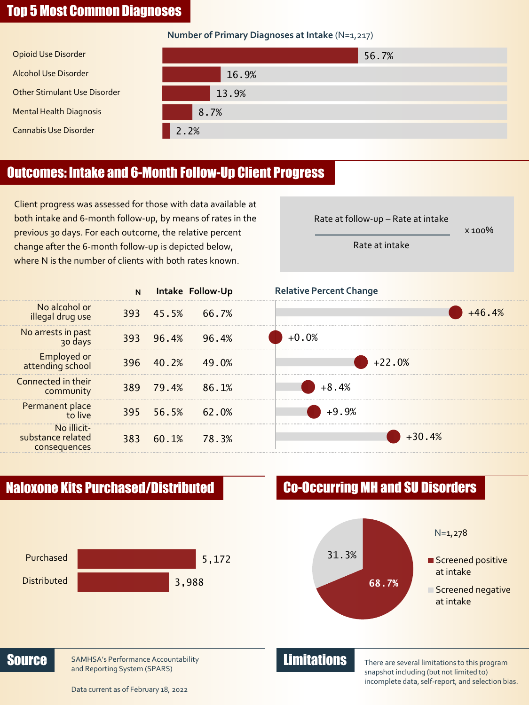## Top 5 Most Common Diagnoses

### **Number of Primary Diagnoses at Intake** (N=1,217)

| Opioid Use Disorder                 | 56.7% |
|-------------------------------------|-------|
| <b>Alcohol Use Disorder</b>         | 16.9% |
| <b>Other Stimulant Use Disorder</b> | 13.9% |
| <b>Mental Health Diagnosis</b>      | 8.7%  |
| <b>Cannabis Use Disorder</b>        | 2.2%  |

# Outcomes: Intake and 6-Month Follow-Up Client Progress

Client progress was assessed for those with data available at both intake and 6-month follow-up, by means of rates in the previous 30 days. For each outcome, the relative percent change after the 6-month follow-up is depicted below, where N is the number of clients with both rates known.





Rate at follow-up – Rate at intake

x 100%

Rate at intake



There are several limitations to this program snapshot including (but not limited to) incomplete data, self-report, and selection bias.

Data c[urrent as of February 18,](http://www.samhsa.gov/) 2022

and Reporting System (SPARS)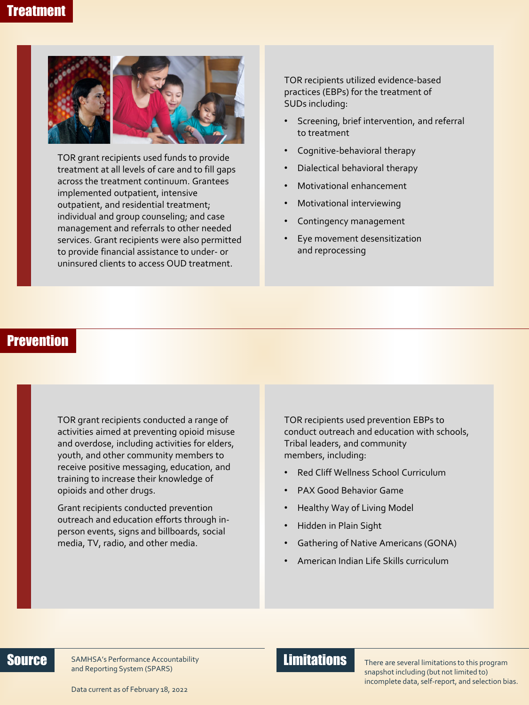

TOR grant recipients used funds to provide treatment at all levels of care and to fill gaps across the treatment continuum. Grantees implemented outpatient, intensive outpatient, and residential treatment; individual and group counseling; and case management and referrals to other needed services. Grant recipients were also permitted to provide financial assistance to under- or uninsured clients to access OUD treatment.

TOR recipients utilized evidence-based practices (EBPs) for the treatment of SUDs including:

- Screening, brief intervention, and referral to treatment
- Cognitive-behavioral therapy
- Dialectical behavioral therapy
- Motivational enhancement
- Motivational interviewing
- Contingency management
- Eye movement desensitization and reprocessing

### **Prevention**

TOR grant recipients conducted a range of activities aimed at preventing opioid misuse and overdose, including activities for elders, youth, and other community members to receive positive messaging, education, and training to increase their knowledge of opioids and other drugs.

Grant recipients conducted prevention outreach and education efforts through inperson events, signs and billboards, social media, TV, radio, and other media.

TOR recipients used prevention EBPs to conduct outreach and education with schools, Tribal leaders, and community members, including:

- Red Cliff Wellness School Curriculum
- PAX Good Behavior Game
- Healthy Way of Living Model
- Hidden in Plain Sight
- Gathering of Native Americans (GONA)
- American Indian Life Skills curriculum

Source SAMHSA's Performance Accountability **Example 2018** and Reporting System (SPARS)

There are several limitations to this program snapshot including (but not limited to) incomplete data, self-report, and selection bias.

Data c[urrent as of February 18,](http://www.samhsa.gov/) 2022